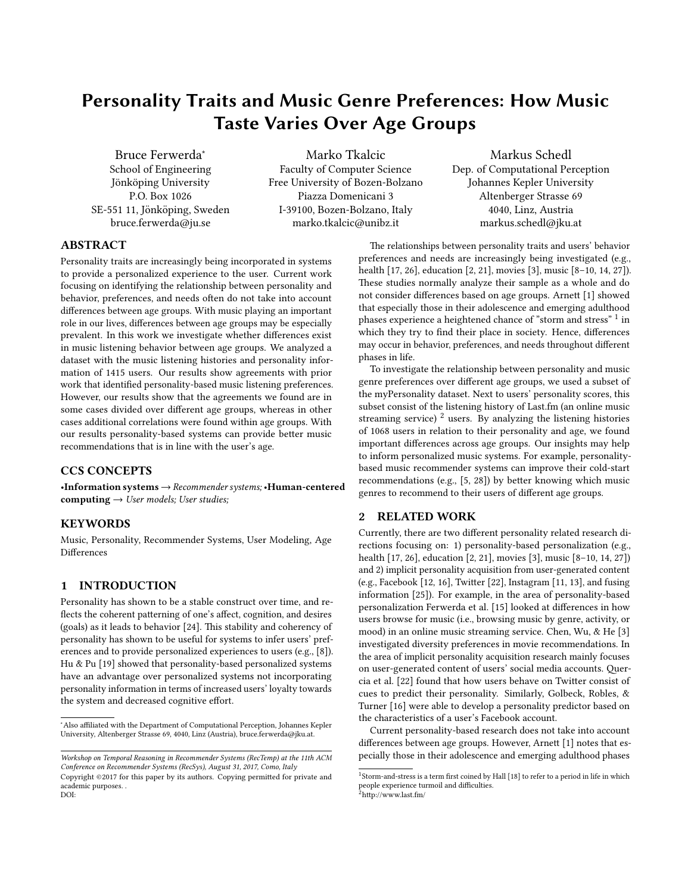# Personality Traits and Music Genre Preferences: How Music Taste Varies Over Age Groups

Bruce Ferwerda<sup>∗</sup> School of Engineering Jönköping University P.O. Box 1026 SE-551 11, Jönköping, Sweden bruce.ferwerda@ju.se

Marko Tkalcic Faculty of Computer Science Free University of Bozen-Bolzano Piazza Domenicani 3 I-39100, Bozen-Bolzano, Italy marko.tkalcic@unibz.it

Markus Schedl Dep. of Computational Perception Johannes Kepler University Altenberger Strasse 69 4040, Linz, Austria markus.schedl@jku.at

# ABSTRACT

Personality traits are increasingly being incorporated in systems to provide a personalized experience to the user. Current work focusing on identifying the relationship between personality and behavior, preferences, and needs often do not take into account differences between age groups. With music playing an important role in our lives, differences between age groups may be especially prevalent. In this work we investigate whether differences exist in music listening behavior between age groups. We analyzed a dataset with the music listening histories and personality information of 1415 users. Our results show agreements with prior work that identified personality-based music listening preferences. However, our results show that the agreements we found are in some cases divided over different age groups, whereas in other cases additional correlations were found within age groups. With our results personality-based systems can provide better music recommendations that is in line with the user's age.

# CCS CONCEPTS

•Information systems→Recommender systems; •Human-centered computing  $\rightarrow$  User models; User studies;

#### **KEYWORDS**

Music, Personality, Recommender Systems, User Modeling, Age Differences

#### 1 INTRODUCTION

Personality has shown to be a stable construct over time, and re flects the coherent patterning of one's affect, cognition, and desires (goals) as it leads to behavior [\[24\]](#page-4-0). This stability and coherency of personality has shown to be useful for systems to infer users' preferences and to provide personalized experiences to users (e.g., [\[8\]](#page-4-1)). Hu & Pu [\[19\]](#page-4-2) showed that personality-based personalized systems have an advantage over personalized systems not incorporating personality information in terms of increased users' loyalty towards the system and decreased cognitive effort.

The relationships between personality traits and users' behavior preferences and needs are increasingly being investigated (e.g., health [\[17,](#page-4-3) [26\]](#page-4-4), education [\[2,](#page-3-0) [21\]](#page-4-5), movies [\[3\]](#page-4-6), music [\[8](#page-4-1)[–10,](#page-4-7) [14,](#page-4-8) [27\]](#page-4-9)). These studies normally analyze their sample as a whole and do not consider differences based on age groups. Arnett [\[1\]](#page-3-1) showed that especially those in their adolescence and emerging adulthood phases experience a heightened chance of "storm and stress"  $^{\rm 1}$  $^{\rm 1}$  $^{\rm 1}$  in which they try to find their place in society. Hence, differences may occur in behavior, preferences, and needs throughout different phases in life.

To investigate the relationship between personality and music genre preferences over different age groups, we used a subset of the myPersonality dataset. Next to users' personality scores, this subset consist of the listening history of Last.fm (an online music streaming service)<sup>[2](#page-0-1)</sup> users. By analyzing the listening histories of 1068 users in relation to their personality and age, we found important differences across age groups. Our insights may help to inform personalized music systems. For example, personalitybased music recommender systems can improve their cold-start recommendations (e.g.,  $[5, 28]$  $[5, 28]$  $[5, 28]$ ) by better knowing which music genres to recommend to their users of different age groups.

#### 2 RELATED WORK

Currently, there are two different personality related research directions focusing on: 1) personality-based personalization (e.g., health [\[17,](#page-4-3) [26\]](#page-4-4), education [\[2,](#page-3-0) [21\]](#page-4-5), movies [\[3\]](#page-4-6), music [\[8](#page-4-1)[–10,](#page-4-7) [14,](#page-4-8) [27\]](#page-4-9)) and 2) implicit personality acquisition from user-generated content (e.g., Facebook [\[12,](#page-4-12) [16\]](#page-4-13), Twitter [\[22\]](#page-4-14), Instagram [\[11,](#page-4-15) [13\]](#page-4-16), and fusing information [\[25\]](#page-4-17)). For example, in the area of personality-based personalization Ferwerda et al. [\[15\]](#page-4-18) looked at differences in how users browse for music (i.e., browsing music by genre, activity, or mood) in an online music streaming service. Chen, Wu, & He [\[3\]](#page-4-6) investigated diversity preferences in movie recommendations. In the area of implicit personality acquisition research mainly focuses on user-generated content of users' social media accounts. Quer-cia et al. [\[22\]](#page-4-14) found that how users behave on Twitter consist of cues to predict their personality. Similarly, Golbeck, Robles, & Turner [\[16\]](#page-4-13) were able to develop a personality predictor based on the characteristics of a user's Facebook account.

Current personality-based research does not take into account differences between age groups. However, Arnett [\[1\]](#page-3-1) notes that especially those in their adolescence and emerging adulthood phases

<sup>∗</sup>Also aliated with the Department of Computational Perception, Johannes Kepler University, Altenberger Strasse 69, 4040, Linz (Austria), bruce.ferwerda@jku.at.

Workshop on Temporal Reasoning in Recommender Systems (RecTemp) at the 11th ACM Conference on Recommender Systems (RecSys), August 31, 2017, Como, Italy Copyright ©2017 for this paper by its authors. Copying permitted for private and

academic purposes. . DOI:

<span id="page-0-1"></span><span id="page-0-0"></span> $1$ Storm-and-stress is a term first coined by Hall [\[18\]](#page-4-19) to refer to a period in life in which people experience turmoil and difficulties.  ${}^{2}$ http://www.last.fm/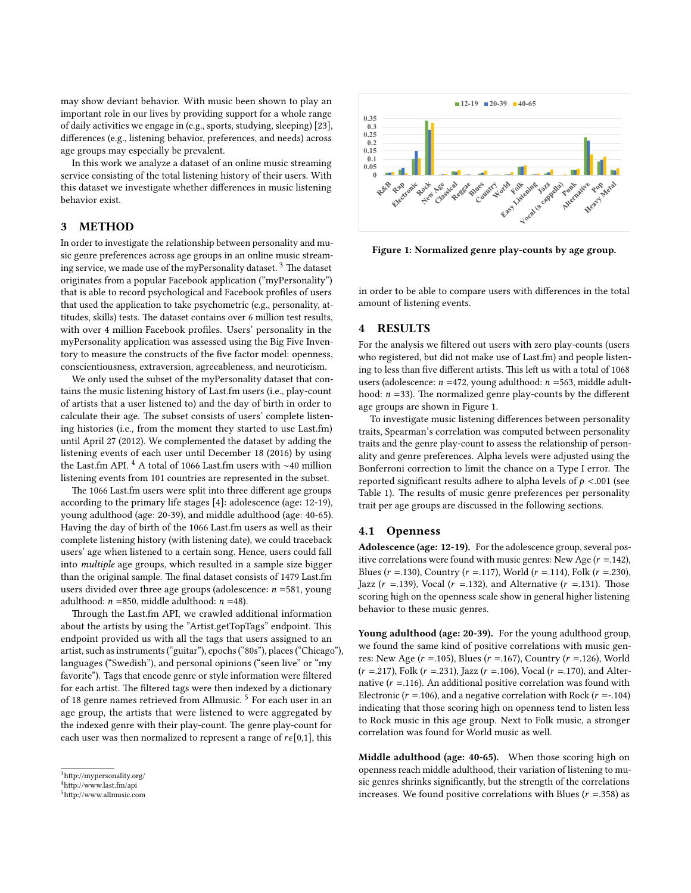may show deviant behavior. With music been shown to play an important role in our lives by providing support for a whole range of daily activities we engage in (e.g., sports, studying, sleeping) [\[23\]](#page-4-20), differences (e.g., listening behavior, preferences, and needs) across age groups may especially be prevalent.

In this work we analyze a dataset of an online music streaming service consisting of the total listening history of their users. With this dataset we investigate whether differences in music listening behavior exist.

#### 3 METHOD

In order to investigate the relationship between personality and music genre preferences across age groups in an online music stream-ing service, we made use of the myPersonality dataset.<sup>[3](#page-1-0)</sup> The dataset originates from a popular Facebook application ("myPersonality") that is able to record psychological and Facebook profiles of users that used the application to take psychometric (e.g., personality, attitudes, skills) tests. The dataset contains over 6 million test results, with over 4 million Facebook profiles. Users' personality in the myPersonality application was assessed using the Big Five Inventory to measure the constructs of the five factor model: openness, conscientiousness, extraversion, agreeableness, and neuroticism.

We only used the subset of the myPersonality dataset that contains the music listening history of Last.fm users (i.e., play-count of artists that a user listened to) and the day of birth in order to calculate their age. The subset consists of users' complete listening histories (i.e., from the moment they started to use Last.fm) until April 27 (2012). We complemented the dataset by adding the listening events of each user until December 18 (2016) by using the Last.fm API. [4](#page-1-1) A total of 1066 Last.fm users with ∼40 million listening events from 101 countries are represented in the subset.

The 1066 Last.fm users were split into three different age groups according to the primary life stages [\[4\]](#page-4-21): adolescence (age: 12-19), young adulthood (age: 20-39), and middle adulthood (age: 40-65). Having the day of birth of the 1066 Last.fm users as well as their complete listening history (with listening date), we could traceback users' age when listened to a certain song. Hence, users could fall into multiple age groups, which resulted in a sample size bigger than the original sample. The final dataset consists of 1479 Last.fm users divided over three age groups (adolescence:  $n = 581$ , young adulthood:  $n = 850$ , middle adulthood:  $n = 48$ ).

Through the Last.fm API, we crawled additional information about the artists by using the "Artist.getTopTags" endpoint. This endpoint provided us with all the tags that users assigned to an artist, such as instruments ("guitar"), epochs ("80s"), places ("Chicago"), languages ("Swedish"), and personal opinions ("seen live" or "my favorite"). Tags that encode genre or style information were filtered for each artist. The filtered tags were then indexed by a dictionary of 18 genre names retrieved from Allmusic.<sup>[5](#page-1-2)</sup> For each user in an age group, the artists that were listened to were aggregated by the indexed genre with their play-count. The genre play-count for each user was then normalized to represent a range of  $r\epsilon[0,1]$ , this

<span id="page-1-3"></span>

Figure 1: Normalized genre play-counts by age group.

in order to be able to compare users with differences in the total amount of listening events.

# 4 RESULTS

For the analysis we filtered out users with zero play-counts (users who registered, but did not make use of Last.fm) and people listening to less than five different artists. This left us with a total of 1068 users (adolescence:  $n = 472$ , young adulthood:  $n = 563$ , middle adulthood:  $n = 33$ ). The normalized genre play-counts by the different age groups are shown in Figure [1.](#page-1-3)

To investigate music listening differences between personality traits, Spearman's correlation was computed between personality traits and the genre play-count to assess the relationship of personality and genre preferences. Alpha levels were adjusted using the Bonferroni correction to limit the chance on a Type I error. The reported significant results adhere to alpha levels of  $p < .001$  (see Table [1\)](#page-2-0). The results of music genre preferences per personality trait per age groups are discussed in the following sections.

#### 4.1 Openness

Adolescence (age: 12-19). For the adolescence group, several positive correlations were found with music genres: New Age  $(r = .142)$ , Blues ( $r = .130$ ), Country ( $r = .117$ ), World ( $r = .114$ ), Folk ( $r = .230$ ), Jazz ( $r = 139$ ), Vocal ( $r = 132$ ), and Alternative ( $r = 131$ ). Those scoring high on the openness scale show in general higher listening behavior to these music genres.

Young adulthood (age: 20-39). For the young adulthood group, we found the same kind of positive correlations with music genres: New Age ( $r = .105$ ), Blues ( $r = .167$ ), Country ( $r = .126$ ), World  $(r = .217)$ , Folk  $(r = .231)$ , Jazz  $(r = .106)$ , Vocal  $(r = .170)$ , and Alternative ( $r = 116$ ). An additional positive correlation was found with Electronic ( $r = 106$ ), and a negative correlation with Rock ( $r = -104$ ) indicating that those scoring high on openness tend to listen less to Rock music in this age group. Next to Folk music, a stronger correlation was found for World music as well.

Middle adulthood (age: 40-65). When those scoring high on openness reach middle adulthood, their variation of listening to music genres shrinks significantly, but the strength of the correlations increases. We found positive correlations with Blues ( $r = .358$ ) as

<span id="page-1-0"></span> $^3$  http://mypersonality.org/  $\,$ 

<span id="page-1-1"></span><sup>4</sup>[hp://www.last.fm/api](http://www.last.fm/api)

<span id="page-1-2"></span> $5$ http://www.allmusic.com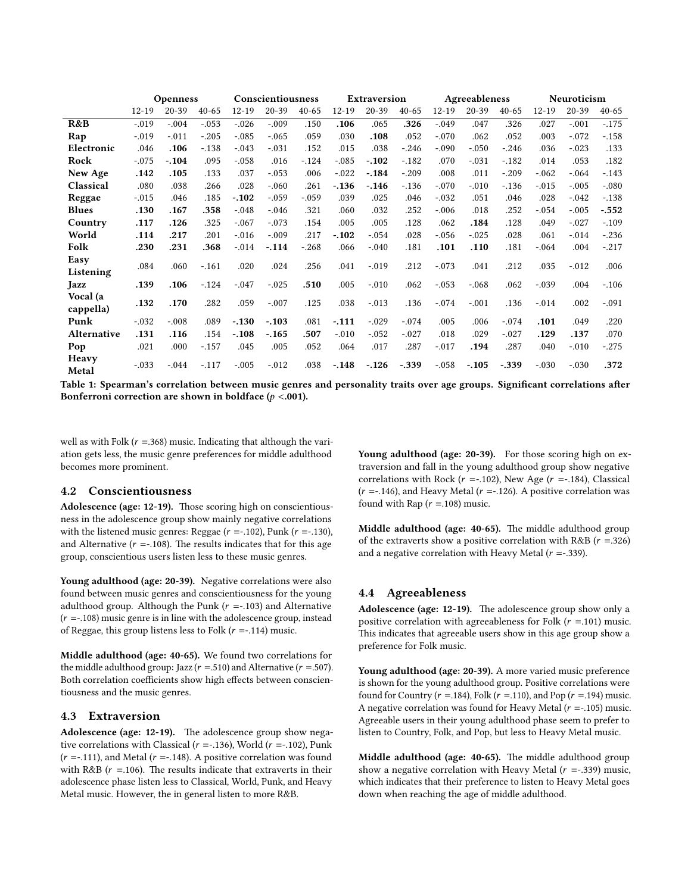<span id="page-2-0"></span>

|                       | <b>Openness</b> |           |           | Conscientiousness |         |           | Extraversion |         |           | Agreeableness |         |           | Neuroticism |         |           |
|-----------------------|-----------------|-----------|-----------|-------------------|---------|-----------|--------------|---------|-----------|---------------|---------|-----------|-------------|---------|-----------|
|                       | $12 - 19$       | $20 - 39$ | $40 - 65$ | $12 - 19$         | 20-39   | $40 - 65$ | $12 - 19$    | 20-39   | $40 - 65$ | $12 - 19$     | 20-39   | $40 - 65$ | $12 - 19$   | 20-39   | $40 - 65$ |
| R&B                   | $-.019$         | $-.004$   | $-.053$   | $-.026$           | $-.009$ | .150      | .106         | .065    | .326      | $-.049$       | .047    | .326      | .027        | $-.001$ | $-.175$   |
| Rap                   | $-.019$         | $-.011$   | $-.205$   | $-.085$           | $-.065$ | .059      | .030         | .108    | .052      | $-.070$       | .062    | .052      | .003        | $-.072$ | $-.158$   |
| Electronic            | .046            | .106      | $-.138$   | $-.043$           | $-.031$ | .152      | .015         | .038    | $-.246$   | $-.090$       | $-.050$ | $-.246$   | .036        | $-.023$ | .133      |
| Rock                  | $-.075$         | $-.104$   | .095      | $-.058$           | .016    | $-.124$   | $-.085$      | $-.102$ | $-.182$   | .070          | $-.031$ | $-.182$   | .014        | .053    | .182      |
| New Age               | .142            | .105      | .133      | .037              | $-.053$ | .006      | $-.022$      | $-.184$ | $-.209$   | .008          | .011    | $-.209$   | $-.062$     | $-.064$ | $-.143$   |
| Classical             | .080            | .038      | .266      | .028              | $-.060$ | .261      | $-.136$      | $-.146$ | $-136$    | $-.070$       | $-.010$ | $-.136$   | $-.015$     | $-.005$ | $-.080$   |
| Reggae                | $-.015$         | .046      | .185      | $-.102$           | $-.059$ | $-.059$   | .039         | .025    | .046      | $-.032$       | .051    | .046      | .028        | $-.042$ | $-.138$   |
| <b>Blues</b>          | .130            | .167      | .358      | $-.048$           | $-.046$ | .321      | .060         | .032    | .252      | $-.006$       | .018    | .252      | $-.054$     | $-.005$ | $-.552$   |
| Country               | .117            | .126      | .325      | $-.067$           | $-.073$ | .154      | .005         | .005    | .128      | .062          | .184    | .128      | .049        | $-.027$ | $-.109$   |
| World                 | .114            | .217      | .201      | $-.016$           | $-.009$ | .217      | $-.102$      | $-.054$ | .028      | $-.056$       | $-.025$ | .028      | .061        | $-.014$ | $-236$    |
| Folk                  | .230            | .231      | .368      | $-.014$           | $-.114$ | $-.268$   | .066         | $-.040$ | .181      | .101          | .110    | .181      | $-.064$     | .004    | $-.217$   |
| Easy<br>Listening     | .084            | .060      | $-.161$   | .020              | .024    | .256      | .041         | $-.019$ | .212      | $-.073$       | .041    | .212      | .035        | $-.012$ | .006      |
| Jazz                  | .139            | .106      | $-.124$   | $-.047$           | $-.025$ | .510      | .005         | $-.010$ | .062      | $-.053$       | $-.068$ | .062      | $-.039$     | .004    | $-.106$   |
| Vocal (a<br>cappella) | .132            | .170      | .282      | .059              | $-.007$ | .125      | .038         | $-.013$ | .136      | $-.074$       | $-.001$ | .136      | $-.014$     | .002    | $-.091$   |
| Punk                  | $-.032$         | $-.008$   | .089      | $-.130$           | $-.103$ | .081      | $-.111$      | $-.029$ | $-.074$   | .005          | .006    | $-.074$   | .101        | .049    | .220      |
| Alternative           | .131            | .116      | .154      | $-.108$           | $-.165$ | .507      | $-.010$      | $-.052$ | $-.027$   | .018          | .029    | $-.027$   | .129        | .137    | .070      |
| Pop                   | .021            | .000      | $-.157$   | .045              | .005    | .052      | .064         | .017    | .287      | $-.017$       | .194    | .287      | .040        | $-.010$ | $-.275$   |
| Heavy<br>Metal        | $-.033$         | $-.044$   | $-.117$   | $-.005$           | $-.012$ | .038      | $-.148$      | $-.126$ | $-.339$   | $-.058$       | $-.105$ | $-.339$   | $-.030$     | $-.030$ | .372      |

Table 1: Spearman's correlation between music genres and personality traits over age groups. Significant correlations after Bonferroni correction are shown in boldface ( $p < .001$ ).

well as with Folk ( $r = .368$ ) music. Indicating that although the variation gets less, the music genre preferences for middle adulthood becomes more prominent.

#### 4.2 Conscientiousness

Adolescence (age: 12-19). Those scoring high on conscientiousness in the adolescence group show mainly negative correlations with the listened music genres: Reggae ( $r = -102$ ), Punk ( $r = -130$ ), and Alternative ( $r = -108$ ). The results indicates that for this age group, conscientious users listen less to these music genres.

Young adulthood (age: 20-39). Negative correlations were also found between music genres and conscientiousness for the young adulthood group. Although the Punk  $(r = -103)$  and Alternative  $(r = .108)$  music genre is in line with the adolescence group, instead of Reggae, this group listens less to Folk  $(r = -114)$  music.

Middle adulthood (age: 40-65). We found two correlations for the middle adulthood group: Jazz ( $r = .510$ ) and Alternative ( $r = .507$ ). Both correlation coefficients show high effects between conscientiousness and the music genres.

#### 4.3 Extraversion

Adolescence (age: 12-19). The adolescence group show negative correlations with Classical ( $r = -136$ ), World ( $r = -102$ ), Punk  $(r = -111)$ , and Metal  $(r = -148)$ . A positive correlation was found with R&B ( $r = 106$ ). The results indicate that extraverts in their adolescence phase listen less to Classical, World, Punk, and Heavy Metal music. However, the in general listen to more R&B.

Young adulthood (age: 20-39). For those scoring high on extraversion and fall in the young adulthood group show negative correlations with Rock ( $r = -.102$ ), New Age ( $r = -.184$ ), Classical  $(r = -146)$ , and Heavy Metal  $(r = -126)$ . A positive correlation was found with Rap  $(r = .108)$  music.

Middle adulthood (age: 40-65). The middle adulthood group of the extraverts show a positive correlation with R&B ( $r = .326$ ) and a negative correlation with Heavy Metal  $(r = .339)$ .

#### 4.4 Agreeableness

Adolescence (age: 12-19). The adolescence group show only a positive correlation with agreeableness for Folk  $(r = .101)$  music. This indicates that agreeable users show in this age group show a preference for Folk music.

Young adulthood (age: 20-39). A more varied music preference is shown for the young adulthood group. Positive correlations were found for Country ( $r = 184$ ), Folk ( $r = 110$ ), and Pop ( $r = 194$ ) music. A negative correlation was found for Heavy Metal  $(r = -105)$  music. Agreeable users in their young adulthood phase seem to prefer to listen to Country, Folk, and Pop, but less to Heavy Metal music.

Middle adulthood (age: 40-65). The middle adulthood group show a negative correlation with Heavy Metal ( $r = -0.339$ ) music, which indicates that their preference to listen to Heavy Metal goes down when reaching the age of middle adulthood.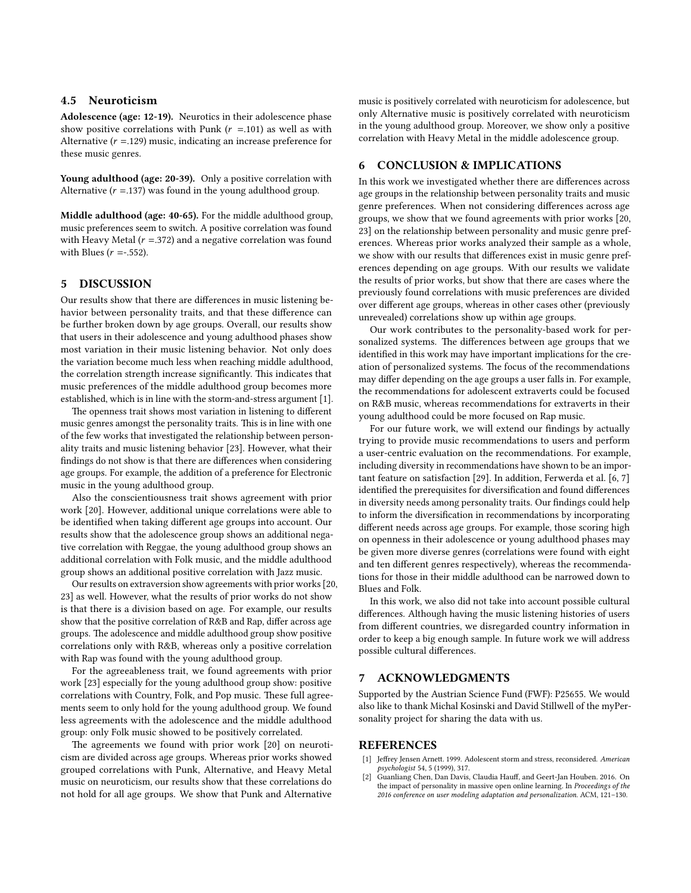#### 4.5 Neuroticism

Adolescence (age: 12-19). Neurotics in their adolescence phase show positive correlations with Punk  $(r = .101)$  as well as with Alternative ( $r = 129$ ) music, indicating an increase preference for these music genres.

Young adulthood (age: 20-39). Only a positive correlation with Alternative  $(r = .137)$  was found in the young adulthood group.

Middle adulthood (age: 40-65). For the middle adulthood group, music preferences seem to switch. A positive correlation was found with Heavy Metal ( $r = 0.372$ ) and a negative correlation was found with Blues ( $r = -0.552$ ).

#### 5 DISCUSSION

Our results show that there are differences in music listening behavior between personality traits, and that these difference can be further broken down by age groups. Overall, our results show that users in their adolescence and young adulthood phases show most variation in their music listening behavior. Not only does the variation become much less when reaching middle adulthood, the correlation strength increase significantly. This indicates that music preferences of the middle adulthood group becomes more established, which is in line with the storm-and-stress argument [\[1\]](#page-3-1).

The openness trait shows most variation in listening to different music genres amongst the personality traits. This is in line with one of the few works that investigated the relationship between personality traits and music listening behavior [\[23\]](#page-4-20). However, what their findings do not show is that there are differences when considering age groups. For example, the addition of a preference for Electronic music in the young adulthood group.

Also the conscientiousness trait shows agreement with prior work [\[20\]](#page-4-22). However, additional unique correlations were able to be identified when taking different age groups into account. Our results show that the adolescence group shows an additional negative correlation with Reggae, the young adulthood group shows an additional correlation with Folk music, and the middle adulthood group shows an additional positive correlation with Jazz music.

Our results on extraversion show agreements with prior works [\[20,](#page-4-22) [23\]](#page-4-20) as well. However, what the results of prior works do not show is that there is a division based on age. For example, our results show that the positive correlation of R&B and Rap, differ across age groups. The adolescence and middle adulthood group show positive correlations only with R&B, whereas only a positive correlation with Rap was found with the young adulthood group.

For the agreeableness trait, we found agreements with prior work [\[23\]](#page-4-20) especially for the young adulthood group show: positive correlations with Country, Folk, and Pop music. These full agreements seem to only hold for the young adulthood group. We found less agreements with the adolescence and the middle adulthood group: only Folk music showed to be positively correlated.

The agreements we found with prior work [\[20\]](#page-4-22) on neuroticism are divided across age groups. Whereas prior works showed grouped correlations with Punk, Alternative, and Heavy Metal music on neuroticism, our results show that these correlations do not hold for all age groups. We show that Punk and Alternative

music is positively correlated with neuroticism for adolescence, but only Alternative music is positively correlated with neuroticism in the young adulthood group. Moreover, we show only a positive correlation with Heavy Metal in the middle adolescence group.

### 6 CONCLUSION & IMPLICATIONS

In this work we investigated whether there are differences across age groups in the relationship between personality traits and music genre preferences. When not considering differences across age groups, we show that we found agreements with prior works [\[20,](#page-4-22) [23\]](#page-4-20) on the relationship between personality and music genre preferences. Whereas prior works analyzed their sample as a whole, we show with our results that differences exist in music genre preferences depending on age groups. With our results we validate the results of prior works, but show that there are cases where the previously found correlations with music preferences are divided over different age groups, whereas in other cases other (previously unrevealed) correlations show up within age groups.

Our work contributes to the personality-based work for personalized systems. The differences between age groups that we identified in this work may have important implications for the creation of personalized systems. The focus of the recommendations may differ depending on the age groups a user falls in. For example, the recommendations for adolescent extraverts could be focused on R&B music, whereas recommendations for extraverts in their young adulthood could be more focused on Rap music.

For our future work, we will extend our findings by actually trying to provide music recommendations to users and perform a user-centric evaluation on the recommendations. For example, including diversity in recommendations have shown to be an important feature on satisfaction [\[29\]](#page-4-23). In addition, Ferwerda et al. [\[6,](#page-4-24) [7\]](#page-4-25) identified the prerequisites for diversification and found differences in diversity needs among personality traits. Our findings could help to inform the diversification in recommendations by incorporating different needs across age groups. For example, those scoring high on openness in their adolescence or young adulthood phases may be given more diverse genres (correlations were found with eight and ten different genres respectively), whereas the recommendations for those in their middle adulthood can be narrowed down to Blues and Folk.

In this work, we also did not take into account possible cultural differences. Although having the music listening histories of users from different countries, we disregarded country information in order to keep a big enough sample. In future work we will address possible cultural differences.

#### 7 ACKNOWLEDGMENTS

Supported by the Austrian Science Fund (FWF): P25655. We would also like to thank Michal Kosinski and David Stillwell of the myPersonality project for sharing the data with us.

#### REFERENCES

- <span id="page-3-1"></span>Jeffrey Jensen Arnett. 1999. Adolescent storm and stress, reconsidered. American psychologist 54, 5 (1999), 317.
- <span id="page-3-0"></span>[2] Guanliang Chen, Dan Davis, Claudia Hauff, and Geert-Jan Houben. 2016. On the impact of personality in massive open online learning. In Proceedings of the 2016 conference on user modeling adaptation and personalization. ACM, 121–130.